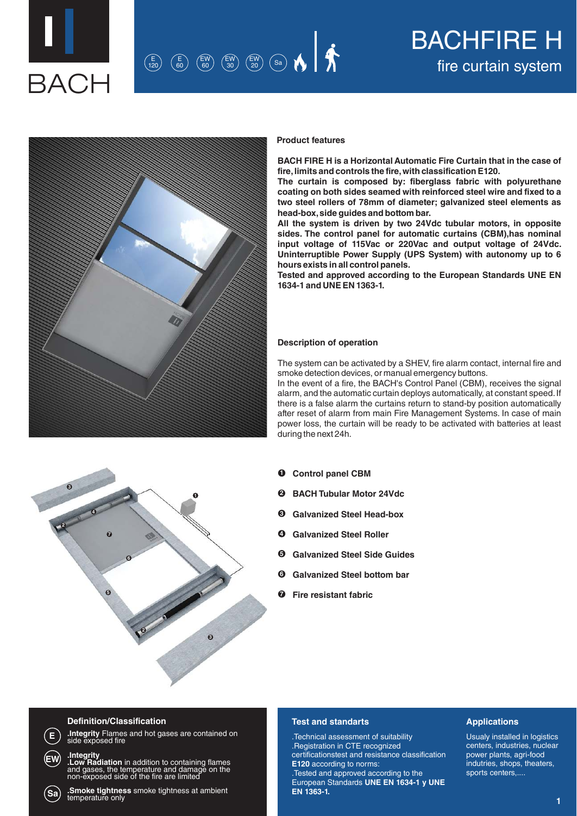

## fire curtain system <sup>E</sup> 120 E 60 EW <sup>60</sup> Sa EW 30 EW 20

# BACHFIRE H



#### **Product features**

**BACH FIRE H is a Horizontal Automatic Fire Curtain that in the case of fire, limits and controls the fire, with classification E120.** 

**The curtain is composed by: fiberglass fabric with polyurethane coating on both sides seamed with reinforced steel wire and fixed to a two steel rollers of 78mm of diameter; galvanized steel elements as head-box, side guides and bottom bar.** 

**All the system is driven by two 24Vdc tubular motors, in opposite sides. The control panel for automatic curtains (CBM),has nominal input voltage of 115Vac or 220Vac and output voltage of 24Vdc. Uninterruptible Power Supply (UPS System) with autonomy up to 6 hours exists in all control panels.**

**Tested and approved according to the European Standards UNE EN 1634-1 and UNE EN 1363-1.**

#### **Description of operation**

The system can be activated by a SHEV, fire alarm contact, internal fire and smoke detection devices, or manual emergency buttons.

In the event of a fire, the BACH's Control Panel (CBM), receives the signal alarm, and the automatic curtain deploys automatically, at constant speed. If there is a false alarm the curtains return to stand-by position automatically after reset of alarm from main Fire Management Systems. In case of main power loss, the curtain will be ready to be activated with batteries at least during the next 24h.

- **1 3 3 2 2 4 5 6 7**
- **Control panel CBM 1**
- **BACH Tubular Motor 24Vdc 2**
- **Galvanized Steel Head-box 3**
- **Galvanized Steel Roller 4**
- **Galvanized Steel Side Guides 5**
- **Galvanized Steel bottom bar 6**
- **Fire resistant fabric 7**

### **Definition/Classification**

**E**

**EW**

**Sa**

**.Integrity** Flames and hot gases are contained on side exposed fire

**.Integrity**<br>**.Low Radiation** in addition to containing flames<br>and gases, the temperature and damage on the<br>non-exposed side of the fire are limited

**.Smoke tightness** smoke tightness at ambient temperature only

#### **Test and standarts**

.Technical assessment of suitability .Registration in CTE recognized certificationstest and resistance classification **E120** according to norms:

.Tested and approved according to the European Standards **UNE EN 1634-1 y UNE EN 1363-1.**

#### **Applications**

Usualy installed in logistics centers, industries, nuclear power plants, agri-food indutries, shops, theaters, sports centers,....